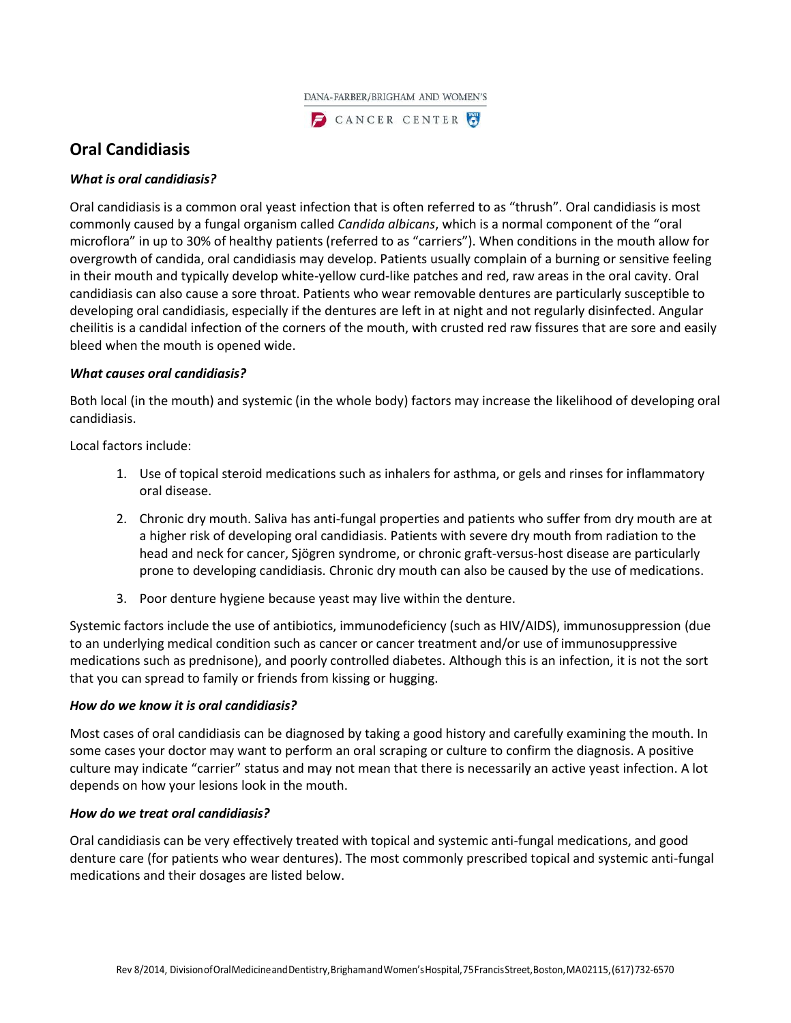

CANCER CENTER

# **Oral Candidiasis**

# *What is oral candidiasis?*

Oral candidiasis is a common oral yeast infection that is often referred to as "thrush". Oral candidiasis is most commonly caused by a fungal organism called *Candida albicans*, which is a normal component of the "oral microflora" in up to 30% of healthy patients (referred to as "carriers"). When conditions in the mouth allow for overgrowth of candida, oral candidiasis may develop. Patients usually complain of a burning or sensitive feeling in their mouth and typically develop white-yellow curd-like patches and red, raw areas in the oral cavity. Oral candidiasis can also cause a sore throat. Patients who wear removable dentures are particularly susceptible to developing oral candidiasis, especially if the dentures are left in at night and not regularly disinfected. Angular cheilitis is a candidal infection of the corners of the mouth, with crusted red raw fissures that are sore and easily bleed when the mouth is opened wide.

### *What causes oral candidiasis?*

Both local (in the mouth) and systemic (in the whole body) factors may increase the likelihood of developing oral candidiasis.

Local factors include:

- 1. Use of topical steroid medications such as inhalers for asthma, or gels and rinses for inflammatory oral disease.
- 2. Chronic dry mouth. Saliva has anti-fungal properties and patients who suffer from dry mouth are at a higher risk of developing oral candidiasis. Patients with severe dry mouth from radiation to the head and neck for cancer, Sjögren syndrome, or chronic graft-versus-host disease are particularly prone to developing candidiasis. Chronic dry mouth can also be caused by the use of medications.
- 3. Poor denture hygiene because yeast may live within the denture.

Systemic factors include the use of antibiotics, immunodeficiency (such as HIV/AIDS), immunosuppression (due to an underlying medical condition such as cancer or cancer treatment and/or use of immunosuppressive medications such as prednisone), and poorly controlled diabetes. Although this is an infection, it is not the sort that you can spread to family or friends from kissing or hugging.

### *How do we know it is oral candidiasis?*

Most cases of oral candidiasis can be diagnosed by taking a good history and carefully examining the mouth. In some cases your doctor may want to perform an oral scraping or culture to confirm the diagnosis. A positive culture may indicate "carrier" status and may not mean that there is necessarily an active yeast infection. A lot depends on how your lesions look in the mouth.

### *How do we treat oral candidiasis?*

Oral candidiasis can be very effectively treated with topical and systemic anti-fungal medications, and good denture care (for patients who wear dentures). The most commonly prescribed topical and systemic anti-fungal medications and their dosages are listed below.